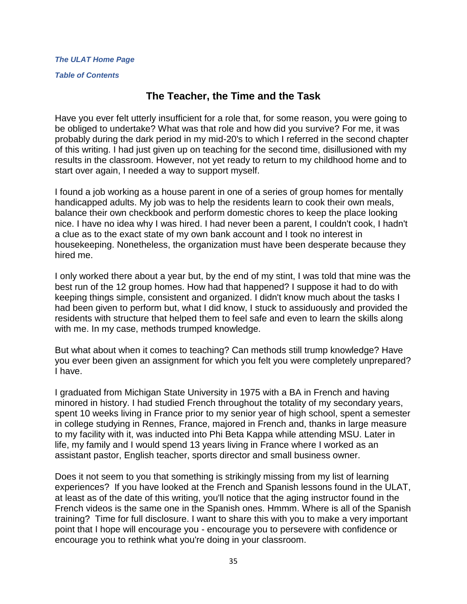*[The ULAT Home Page](http://www.theulat.com/)*

*[Table of Contents](http://www.theulat.com/INOTHERWORDS/CONTENTS.PDF)*

## **The Teacher, the Time and the Task**

Have you ever felt utterly insufficient for a role that, for some reason, you were going to be obliged to undertake? What was that role and how did you survive? For me, it was probably during the dark period in my mid-20's to which I referred in the second chapter of this writing. I had just given up on teaching for the second time, disillusioned with my results in the classroom. However, not yet ready to return to my childhood home and to start over again, I needed a way to support myself.

I found a job working as a house parent in one of a series of group homes for mentally handicapped adults. My job was to help the residents learn to cook their own meals, balance their own checkbook and perform domestic chores to keep the place looking nice. I have no idea why I was hired. I had never been a parent, I couldn't cook, I hadn't a clue as to the exact state of my own bank account and I took no interest in housekeeping. Nonetheless, the organization must have been desperate because they hired me.

I only worked there about a year but, by the end of my stint, I was told that mine was the best run of the 12 group homes. How had that happened? I suppose it had to do with keeping things simple, consistent and organized. I didn't know much about the tasks I had been given to perform but, what I did know, I stuck to assiduously and provided the residents with structure that helped them to feel safe and even to learn the skills along with me. In my case, methods trumped knowledge.

But what about when it comes to teaching? Can methods still trump knowledge? Have you ever been given an assignment for which you felt you were completely unprepared? I have.

I graduated from Michigan State University in 1975 with a BA in French and having minored in history. I had studied French throughout the totality of my secondary years, spent 10 weeks living in France prior to my senior year of high school, spent a semester in college studying in Rennes, France, majored in French and, thanks in large measure to my facility with it, was inducted into Phi Beta Kappa while attending MSU. Later in life, my family and I would spend 13 years living in France where I worked as an assistant pastor, English teacher, sports director and small business owner.

Does it not seem to you that something is strikingly missing from my list of learning experiences? If you have looked at the French and Spanish lessons found in the ULAT, at least as of the date of this writing, you'll notice that the aging instructor found in the French videos is the same one in the Spanish ones. Hmmm. Where is all of the Spanish training? Time for full disclosure. I want to share this with you to make a very important point that I hope will encourage you - encourage you to persevere with confidence or encourage you to rethink what you're doing in your classroom.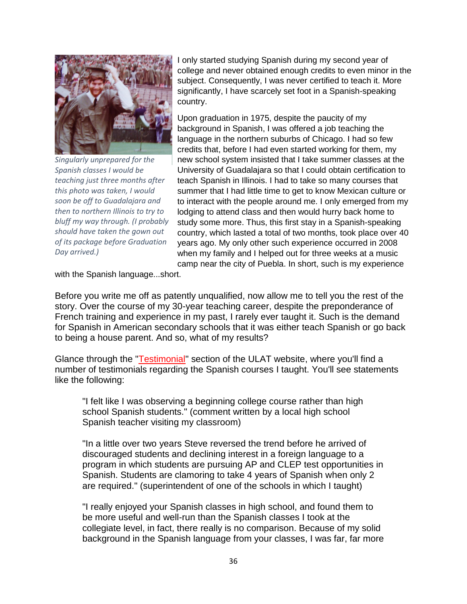

*Singularly unprepared for the Spanish classes I would be teaching just three months after this photo was taken, I would soon be off to Guadalajara and then to northern Illinois to try to bluff my way through. (I probably should have taken the gown out of its package before Graduation Day arrived.)*

I only started studying Spanish during my second year of college and never obtained enough credits to even minor in the subject. Consequently, I was never certified to teach it. More significantly, I have scarcely set foot in a Spanish-speaking country.

Upon graduation in 1975, despite the paucity of my background in Spanish, I was offered a job teaching the language in the northern suburbs of Chicago. I had so few credits that, before I had even started working for them, my new school system insisted that I take summer classes at the University of Guadalajara so that I could obtain certification to teach Spanish in Illinois. I had to take so many courses that summer that I had little time to get to know Mexican culture or to interact with the people around me. I only emerged from my lodging to attend class and then would hurry back home to study some more. Thus, this first stay in a Spanish-speaking country, which lasted a total of two months, took place over 40 years ago. My only other such experience occurred in 2008 when my family and I helped out for three weeks at a music camp near the city of Puebla. In short, such is my experience

with the Spanish language...short.

Before you write me off as patently unqualified, now allow me to tell you the rest of the story. Over the course of my 30-year teaching career, despite the preponderance of French training and experience in my past, I rarely ever taught it. Such is the demand for Spanish in American secondary schools that it was either teach Spanish or go back to being a house parent. And so, what of my results?

Glance through the ["Testimonial"](http://theulat.com/TESTIMONY.HTM) section of the ULAT website, where you'll find a number of testimonials regarding the Spanish courses I taught. You'll see statements like the following:

"I felt like I was observing a beginning college course rather than high school Spanish students." (comment written by a local high school Spanish teacher visiting my classroom)

"In a little over two years Steve reversed the trend before he arrived of discouraged students and declining interest in a foreign language to a program in which students are pursuing AP and CLEP test opportunities in Spanish. Students are clamoring to take 4 years of Spanish when only 2 are required." (superintendent of one of the schools in which I taught)

"I really enjoyed your Spanish classes in high school, and found them to be more useful and well-run than the Spanish classes I took at the collegiate level, in fact, there really is no comparison. Because of my solid background in the Spanish language from your classes, I was far, far more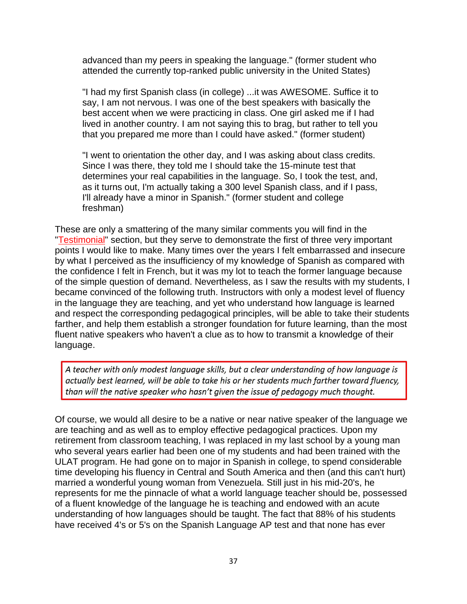advanced than my peers in speaking the language." (former student who attended the currently top-ranked public university in the United States)

"I had my first Spanish class (in college) ...it was AWESOME. Suffice it to say, I am not nervous. I was one of the best speakers with basically the best accent when we were practicing in class. One girl asked me if I had lived in another country. I am not saying this to brag, but rather to tell you that you prepared me more than I could have asked." (former student)

"I went to orientation the other day, and I was asking about class credits. Since I was there, they told me I should take the 15-minute test that determines your real capabilities in the language. So, I took the test, and, as it turns out, I'm actually taking a 300 level Spanish class, and if I pass, I'll already have a minor in Spanish." (former student and college freshman)

These are only a smattering of the many similar comments you will find in the ["Testimonial"](http://theulat.com/TESTIMONY.HTM) section, but they serve to demonstrate the first of three very important points I would like to make. Many times over the years I felt embarrassed and insecure by what I perceived as the insufficiency of my knowledge of Spanish as compared with the confidence I felt in French, but it was my lot to teach the former language because of the simple question of demand. Nevertheless, as I saw the results with my students, I became convinced of the following truth. Instructors with only a modest level of fluency in the language they are teaching, and yet who understand how language is learned and respect the corresponding pedagogical principles, will be able to take their students farther, and help them establish a stronger foundation for future learning, than the most fluent native speakers who haven't a clue as to how to transmit a knowledge of their language.

A teacher with only modest language skills, but a clear understanding of how language is actually best learned, will be able to take his or her students much farther toward fluency, than will the native speaker who hasn't given the issue of pedagogy much thought.

Of course, we would all desire to be a native or near native speaker of the language we are teaching and as well as to employ effective pedagogical practices. Upon my retirement from classroom teaching, I was replaced in my last school by a young man who several years earlier had been one of my students and had been trained with the ULAT program. He had gone on to major in Spanish in college, to spend considerable time developing his fluency in Central and South America and then (and this can't hurt) married a wonderful young woman from Venezuela. Still just in his mid-20's, he represents for me the pinnacle of what a world language teacher should be, possessed of a fluent knowledge of the language he is teaching and endowed with an acute understanding of how languages should be taught. The fact that 88% of his students have received 4's or 5's on the Spanish Language AP test and that none has ever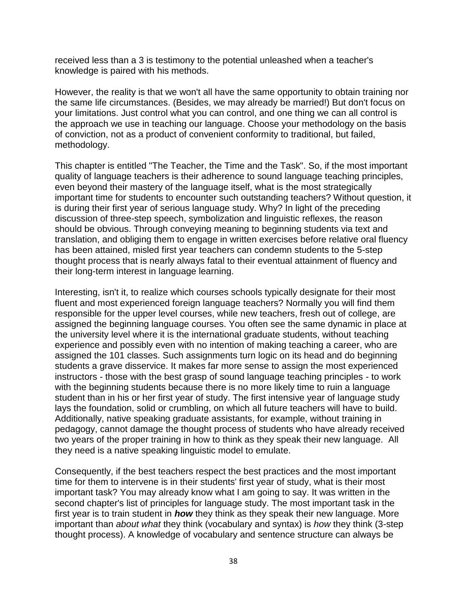received less than a 3 is testimony to the potential unleashed when a teacher's knowledge is paired with his methods.

However, the reality is that we won't all have the same opportunity to obtain training nor the same life circumstances. (Besides, we may already be married!) But don't focus on your limitations. Just control what you can control, and one thing we can all control is the approach we use in teaching our language. Choose your methodology on the basis of conviction, not as a product of convenient conformity to traditional, but failed, methodology.

This chapter is entitled "The Teacher, the Time and the Task". So, if the most important quality of language teachers is their adherence to sound language teaching principles, even beyond their mastery of the language itself, what is the most strategically important time for students to encounter such outstanding teachers? Without question, it is during their first year of serious language study. Why? In light of the preceding discussion of three-step speech, symbolization and linguistic reflexes, the reason should be obvious. Through conveying meaning to beginning students via text and translation, and obliging them to engage in written exercises before relative oral fluency has been attained, misled first year teachers can condemn students to the 5-step thought process that is nearly always fatal to their eventual attainment of fluency and their long-term interest in language learning.

Interesting, isn't it, to realize which courses schools typically designate for their most fluent and most experienced foreign language teachers? Normally you will find them responsible for the upper level courses, while new teachers, fresh out of college, are assigned the beginning language courses. You often see the same dynamic in place at the university level where it is the international graduate students, without teaching experience and possibly even with no intention of making teaching a career, who are assigned the 101 classes. Such assignments turn logic on its head and do beginning students a grave disservice. It makes far more sense to assign the most experienced instructors - those with the best grasp of sound language teaching principles - to work with the beginning students because there is no more likely time to ruin a language student than in his or her first year of study. The first intensive year of language study lays the foundation, solid or crumbling, on which all future teachers will have to build. Additionally, native speaking graduate assistants, for example, without training in pedagogy, cannot damage the thought process of students who have already received two years of the proper training in how to think as they speak their new language. All they need is a native speaking linguistic model to emulate.

Consequently, if the best teachers respect the best practices and the most important time for them to intervene is in their students' first year of study, what is their most important task? You may already know what I am going to say. It was written in the second chapter's list of principles for language study. The most important task in the first year is to train student in *how* they think as they speak their new language. More important than *about what* they think (vocabulary and syntax) is *how* they think (3-step thought process). A knowledge of vocabulary and sentence structure can always be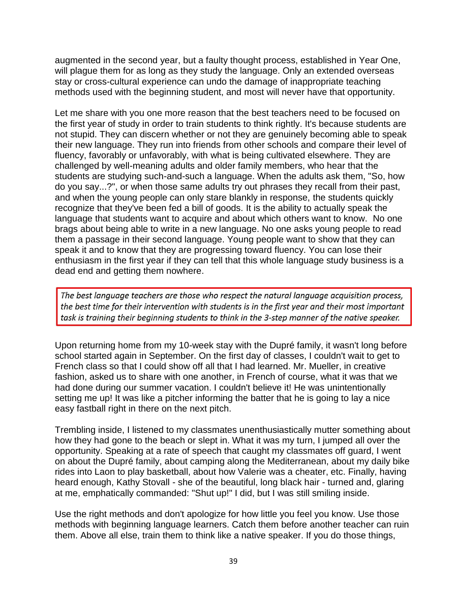augmented in the second year, but a faulty thought process, established in Year One, will plague them for as long as they study the language. Only an extended overseas stay or cross-cultural experience can undo the damage of inappropriate teaching methods used with the beginning student, and most will never have that opportunity.

Let me share with you one more reason that the best teachers need to be focused on the first year of study in order to train students to think rightly. It's because students are not stupid. They can discern whether or not they are genuinely becoming able to speak their new language. They run into friends from other schools and compare their level of fluency, favorably or unfavorably, with what is being cultivated elsewhere. They are challenged by well-meaning adults and older family members, who hear that the students are studying such-and-such a language. When the adults ask them, "So, how do you say...?", or when those same adults try out phrases they recall from their past, and when the young people can only stare blankly in response, the students quickly recognize that they've been fed a bill of goods. It is the ability to actually speak the language that students want to acquire and about which others want to know. No one brags about being able to write in a new language. No one asks young people to read them a passage in their second language. Young people want to show that they can speak it and to know that they are progressing toward fluency. You can lose their enthusiasm in the first year if they can tell that this whole language study business is a dead end and getting them nowhere.

The best language teachers are those who respect the natural language acquisition process, the best time for their intervention with students is in the first year and their most important task is training their beginning students to think in the 3-step manner of the native speaker.

Upon returning home from my 10-week stay with the Dupré family, it wasn't long before school started again in September. On the first day of classes, I couldn't wait to get to French class so that I could show off all that I had learned. Mr. Mueller, in creative fashion, asked us to share with one another, in French of course, what it was that we had done during our summer vacation. I couldn't believe it! He was unintentionally setting me up! It was like a pitcher informing the batter that he is going to lay a nice easy fastball right in there on the next pitch.

Trembling inside, I listened to my classmates unenthusiastically mutter something about how they had gone to the beach or slept in. What it was my turn, I jumped all over the opportunity. Speaking at a rate of speech that caught my classmates off guard, I went on about the Dupré family, about camping along the Mediterranean, about my daily bike rides into Laon to play basketball, about how Valerie was a cheater, etc. Finally, having heard enough, Kathy Stovall - she of the beautiful, long black hair - turned and, glaring at me, emphatically commanded: "Shut up!" I did, but I was still smiling inside.

Use the right methods and don't apologize for how little you feel you know. Use those methods with beginning language learners. Catch them before another teacher can ruin them. Above all else, train them to think like a native speaker. If you do those things,